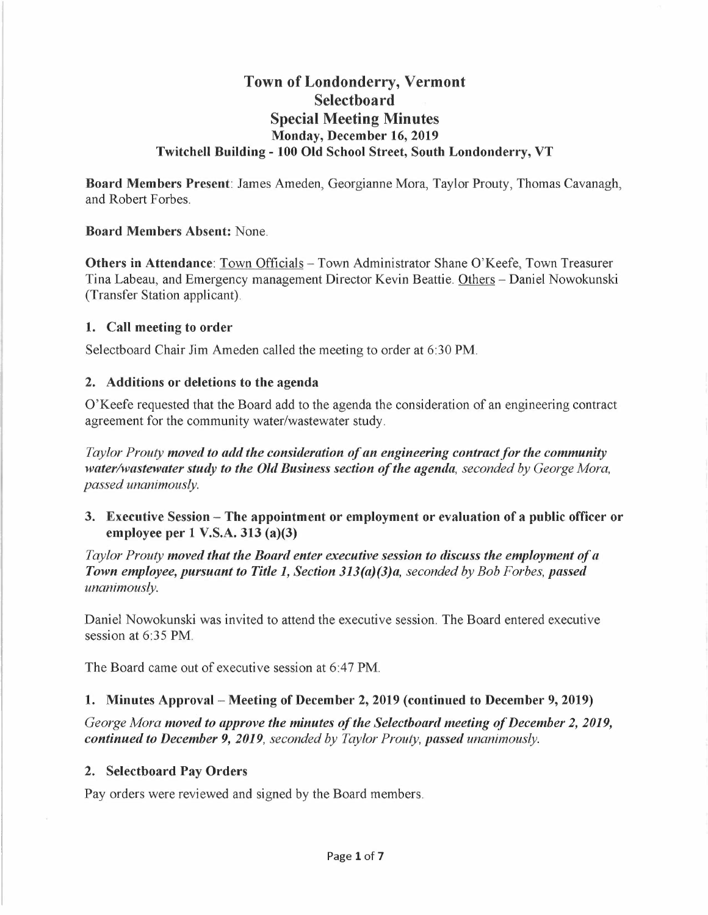# **Town of Londonderry, Vermont Select boa rd Special Meeting Minutes Monday, December 16, 2019 Twitchell Building - 100 Old School Street, South Londonderry, VT**

**Board Members Present:** James Ameden, Georgianne Mora, Taylor Prouty, Thomas Cavanagh, and Robert Forbes.

#### **Board Members Absent:** None.

**Others in Attendance: Town Officials - Town Administrator Shane O'Keefe, Town Treasurer** Tina Labeau, and Emergency management Director Kevin Beattie. Others - Daniel Nowokunski (Transfer Station applicant).

#### **1. Call meeting to order**

Selectboard Chair Jim Ameden called the meeting to order at 6:30 **PM.** 

#### **2. Additions or deletions to the agenda**

O'Keefe requested that the Board add to the agenda the consideration of an engineering contract agreement for the community water/wastewater study.

*Taylor Prouty moved to add the consideration of an engineering contract for the community water/wastewater study to the Old Business section of the agenda, seconded by George Mora, passed unanimously.* 

**3. Executive Session - The appointment or employment or evaluation of a public officer or employee per 1 V.S.A. 313 (a)(3)** 

*Taylor Prouty moved that the Board enter executive session to discuss the employment of a Town employee, pursuant to Title 1, Section 313(a)(3)a, seconded by Bob Forbes, passed unanimously.* 

Daniel Nowokunski was invited to attend the executive session. The Board entered executive session at 6:35 **PM.** 

The Board came out of executive session at 6:47 **PM.** 

## **1. Minutes Approval- Meeting of December 2, 2019 (continued to December 9, 2019)**

*George Mora moved to approve the minutes of the Selectboard meeting of December 2, 2019, continued to December 9, 2019, seconded by Taylor Prouty, passed unanimously.* 

#### **2. Selectboard Pay Orders**

Pay orders were reviewed and signed by the Board members.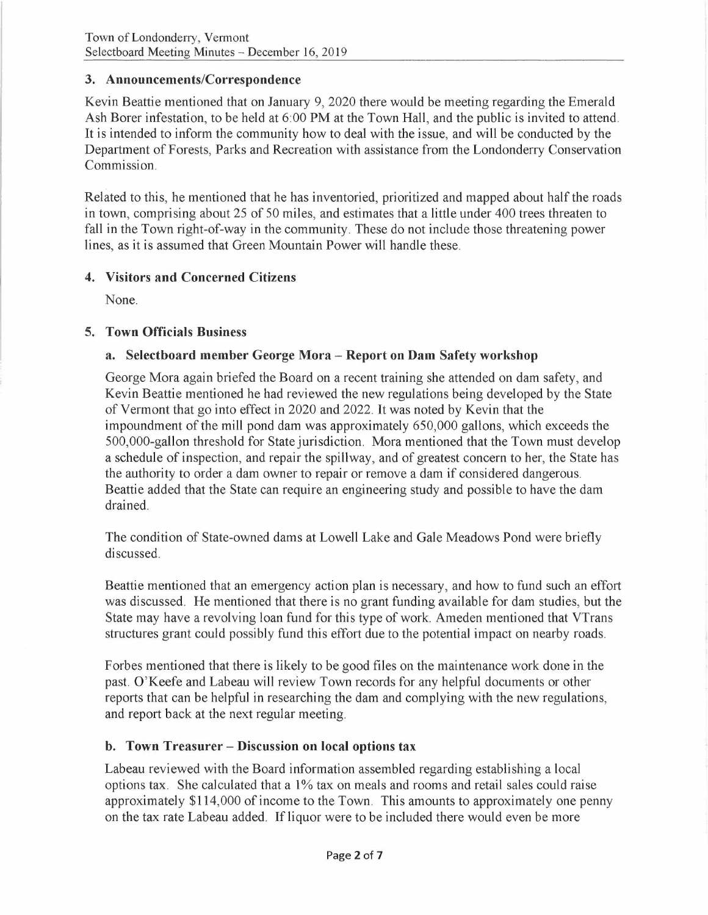## **3. Announcements/Correspondence**

Kevin Beattie mentioned that on January 9, 2020 there would be meeting regarding the Emerald Ash Borer infestation, to be held at 6:00 PM at the Town Hall, and the public is invited to attend. It is intended to inform the community how to deal with the issue, and will be conducted by the Department of Forests, Parks and Recreation with assistance from the Londonderry Conservation Commission.

Related to this, he mentioned that he has inventoried, prioritized and mapped about half the roads in town, comprising about 25 of 50 miles, and estimates that a little under 400 trees threaten to fall in the Town right-of-way in the community. These do not include those threatening power lines, as it is assumed that Green Mountain Power will handle these.

## **4. Visitors and Concerned Citizens**

None.

# **5. Town Officials Business**

# a. Selectboard member George Mora - Report on Dam Safety workshop

George Mora again briefed the Board on a recent training she attended on dam safety, and Kevin Beattie mentioned he had reviewed the new regulations being developed by the State of Vermont that go into effect in 2020 and 2022. It was noted by Kevin that the impoundment of the mill pond dam was approximately 650,000 gallons, which exceeds the 500,000-gallon threshold for State jurisdiction. Mora mentioned that the Town must develop a schedule of inspection, and repair the spillway, and of greatest concern to her, the State has the authority to order a dam owner to repair or remove a dam if considered dangerous. Beattie added that the State can require an engineering study and possible to have the dam drained.

The condition of State-owned dams at Lowell Lake and Gale Meadows Pond were briefly discussed.

Beattie mentioned that an emergency action plan is necessary, and how to fund such an effort was discussed. He mentioned that there is no grant funding available for dam studies, but the State may have a revolving loan fund for this type of work. Am eden mentioned that VTrans structures grant could possibly fund this effort due to the potential impact on nearby roads.

Forbes mentioned that there is likely to be good files on the maintenance work done in the past. O'Keefe and Labeau will review Town records for any helpful documents or other reports that can be helpful in researching the dam and complying with the new regulations, and report back at the next regular meeting.

## **b. Town Treasurer - Discussion on local options tax**

Labeau reviewed with the Board information assembled regarding establishing a local options tax. She calculated that a 1% tax on meals and rooms and retail sales could raise approximately \$114,000 of income to the Town. This amounts to approximately one penny on the tax rate Labeau added. If liquor were to be included there would even be more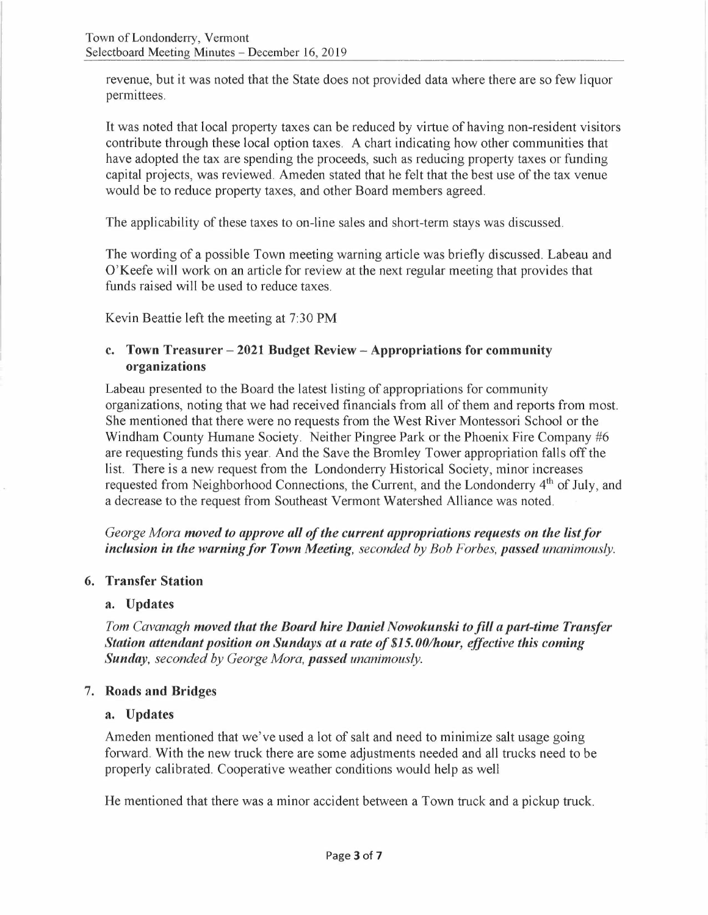revenue, but it was noted that the State does not provided data where there are so few liquor permittees.

It was noted that local property taxes can be reduced by virtue of having non-resident visitors contribute through these local option taxes. A chart indicating how other communities that have adopted the tax are spending the proceeds, such as reducing property taxes or funding capital projects, was reviewed. Ameden stated that he felt that the best use of the tax venue would be to reduce property taxes, and other Board members agreed.

The applicability of these taxes to on-line sales and short-term stays was discussed.

The wording of a possible Town meeting warning article was briefly discussed. Labeau and O'Keefe will work on an article for review at the next regular meeting that provides that funds raised will be used to reduce taxes.

Kevin Beattie left the meeting at 7:30 PM

#### **c. Town Treasurer - 2021 Budget Review - Appropriations for community organizations**

Labeau presented to the Board the latest listing of appropriations for community organizations, noting that we had received financials from all of them and reports from most. She mentioned that there were no requests from the West River Montessori School or the Windham County Humane Society. Neither Pingree Park or the Phoenix Fire Company #6 are requesting funds this year. And the Save the Bromley Tower appropriation falls off the list. There is a new request from the Londonderry Historical Society, minor increases requested from Neighborhood Connections, the Current, and the Londonderry 4<sup>th</sup> of July, and a decrease to the request from Southeast Vermont Watershed Alliance was noted.

*George Mora moved to approve all of the current appropriations requests on the list for inclusion in the warning for Town Meeting, seconded by Bob Forbes, passed unanimously.* 

## **6. Transfer Station**

#### **a. Updates**

*Tom Cavanagh moved that the Board hire Daniel Nowokunski to fill a part-time Transfer Station attendant position on Sundays at a rate of \$15. 00/hour, effective this coming Sunday, seconded by George Mora, passed unanimously.* 

## 7. **Roads and Bridges**

#### **a. Updates**

Ameden mentioned that we've used a lot of salt and need to minimize salt usage going forward. With the new truck there are some adjustments needed and all trucks need to be properly calibrated. Cooperative weather conditions would help as well

He mentioned that there was a minor accident between a Town truck and a pickup truck.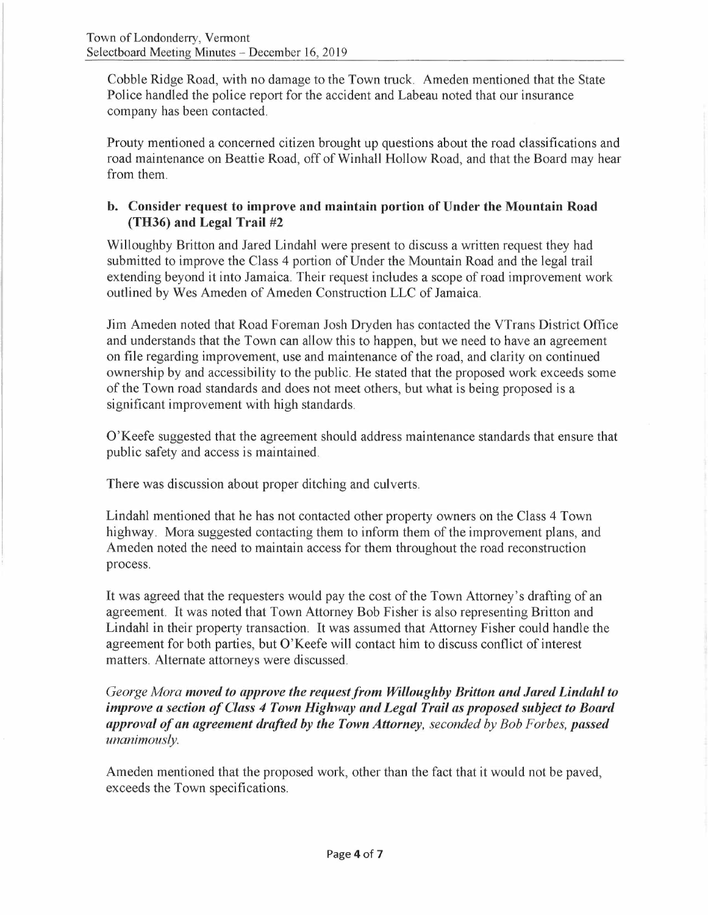Cobble Ridge Road, with no damage to the Town truck. Ameden mentioned that the State Police handled the police report for the accident and Labeau noted that our insurance company has been contacted.

Prouty mentioned a concerned citizen brought up questions about the road classifications and road maintenance on Beattie Road, off of Winhall Hollow Road, and that the Board may hear from them.

## **b. Consider request to improve and maintain portion of Under the Mountain Road (TH36) and Legal Trail #2**

Willoughby Britton and Jared Lindahl were present to discuss a written request they had submitted to improve the Class 4 portion of Under the Mountain Road and the legal trail extending beyond it into Jamaica. Their request includes a scope of road improvement work outlined by Wes Ameden of Ameden Construction LLC of Jamaica.

Jim Ameden noted that Road Foreman Josh Dryden has contacted the VTrans District Office and understands that the Town can allow this to happen, but we need to have an agreement on file regarding improvement, use and maintenance of the road, and clarity on continued ownership by and accessibility to the public. He stated that the proposed work exceeds some of the Town road standards and does not meet others, but what is being proposed is a significant improvement with high standards.

O'Keefe suggested that the agreement should address maintenance standards that ensure that public safety and access is maintained.

There was discussion about proper ditching and culverts.

Lindahl mentioned that he has not contacted other property owners on the Class 4 Town highway. Mora suggested contacting them to inform them of the improvement plans, and Ameden noted the need to maintain access for them throughout the road reconstruction process.

It was agreed that the requesters would pay the cost of the Town Attorney's drafting of an agreement. It was noted that Town Attorney Bob Fisher is also representing Britton and Lindahl in their property transaction. It was assumed that Attorney Fisher could handle the agreement for both parties, but O'Keefe will contact him to discuss conflict of interest matters. Alternate attorneys were discussed.

## *George Mora moved to approve the request from Willoughby Britton and Jared Lindahl to improve a section of Class 4 Town Highway and Legal Trail as proposed subject to Board approval ofan agreement drafted by the Town Attorney, seconded by Bob Forbes, passed unanimously.*

Ameden mentioned that the proposed work, other than the fact that it would not be paved, exceeds the Town specifications.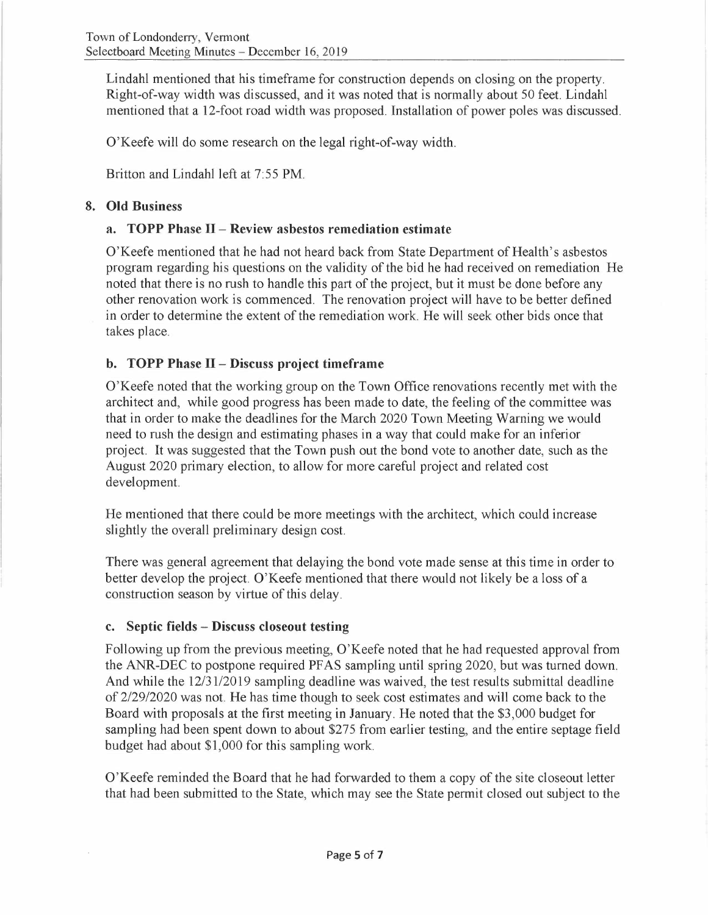Lindahl mentioned that his timeframe for construction depends on closing on the property. Right-of-way width was discussed, and it was noted that is normally about 50 feet. Lindahl mentioned that a 12-foot road width was proposed. Installation of power poles was discussed.

O'Keefe will do some research on the legal right-of-way width.

Britton and Lindahl left at 7:55 PM.

## **8. Old Business**

## **a. TOPP Phase** II - **Review asbestos remediation estimate**

O'Keefe mentioned that he had not heard back from State Department of Health's asbestos program regarding his questions on the validity of the bid he had received on remediation He noted that there is no rush to handle this part of the project, but it must be done before any other renovation work is commenced. The renovation project will have to be better defined in order to determine the extent of the remediation work. He will seek other bids once that takes place.

# **b. TOPP Phase II- Discuss project timeframe**

O'Keefe noted that the working group on the Town Office renovations recently met with the architect and, while good progress has been made to date, the feeling of the committee was that in order to make the deadlines for the March 2020 Town Meeting Warning we would need to rush the design and estimating phases in a way that could make for an inferior project. It was suggested that the Town push out the bond vote to another date, such as the August 2020 primary election, to allow for more careful project and related cost development.

He mentioned that there could be more meetings with the architect, which could increase slightly the overall preliminary design cost.

There was general agreement that delaying the bond vote made sense at this time in order to better develop the project. O'Keefe mentioned that there would not likely be a loss of a construction season by virtue of this delay.

## **c. Septic fields - Discuss closeout testing**

Following up from the previous meeting, O'Keefe noted that he had requested approval from the ANR-DEC to postpone required PF AS sampling until spring 2020, but was turned down. And while the 12/31/2019 sampling deadline was waived, the test results submittal deadline of 2/29/2020 was not. He has time though to seek cost estimates and will come back to the Board with proposals at the first meeting in January. He noted that the \$3,000 budget for sampling had been spent down to about \$275 from earlier testing, and the entire septage field budget had about \$1,000 for this sampling work.

O'Keefe reminded the Board that he had forwarded to them a copy of the site closeout letter that had been submitted to the State, which may see the State permit closed out subject to the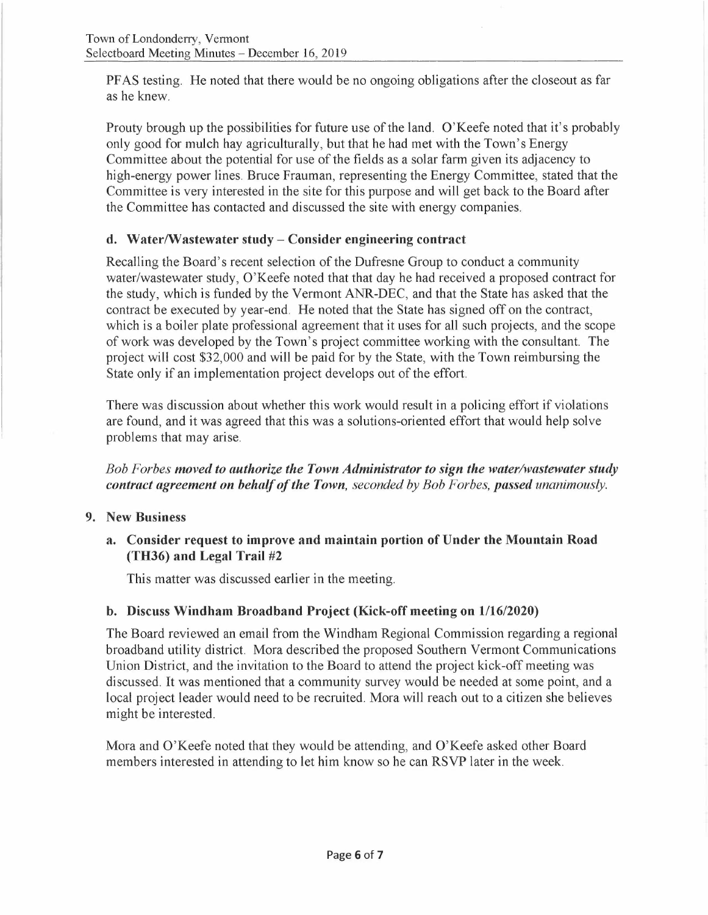PFAS testing. He noted that there would be no ongoing obligations after the closeout as far as he knew.

Prouty brough up the possibilities for future use of the land. O'Keefe noted that it's probably only good for mulch hay agriculturally, but that he had met with the Town's Energy Committee about the potential for use of the fields as a solar farm given its adjacency to high-energy power lines. Bruce Frauman, representing the Energy Committee, stated that the Committee is very interested in the site for this purpose and will get back to the Board after the Committee has contacted and discussed the site with energy companies.

## **d. Water/Wastewater study- Consider engineering contract**

Recalling the Board's recent selection of the Dufresne Group to conduct a community water/wastewater study, O'Keefe noted that that day he had received a proposed contract for the study, which is funded by the Vermont ANR-DEC, and that the State has asked that the contract be executed by year-end. He noted that the State has signed off on the contract, which is a boiler plate professional agreement that it uses for all such projects, and the scope of work was developed by the Town's project committee working with the consultant. The project will cost \$32,000 and will be paid for by the State, with the Town reimbursing the State only if an implementation project develops out of the effort.

There was discussion about whether this work would result in a policing effort if violations are found, and it was agreed that this was a solutions-oriented effort that would help solve problems that may arise.

*Bob Forbes moved to authorize the Town Administrator to sign the water/wastewater study contract agreement on behalf of the Town, seconded by Bob Forbes, passed unanimously.* 

- **9. New Business** 
	- **a. Consider request to improve and maintain portion of Under the Mountain Road (TH36) and Legal Trail #2**

This matter was discussed earlier in the meeting.

## **b. Discuss Windham Broadband Project (Kick-off meeting on 1/16/2020)**

The Board reviewed an email from the Windham Regional Commission regarding a regional broadband utility district. Mora described the proposed Southern Vermont Communications Union District, and the invitation to the Board to attend the project kick-off meeting was discussed. It was mentioned that a community survey would be needed at some point, and a local project leader would need to be recruited. Mora will reach out to a citizen she believes might be interested.

Mora and O'Keefe noted that they would be attending, and O'Keefe asked other Board members interested in attending to let him know so he can RSVP later in the week.